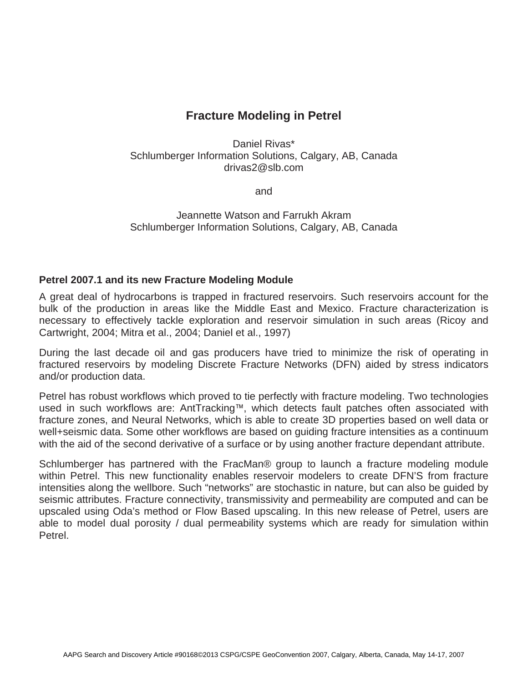## **Fracture Modeling in Petrel**

Daniel Rivas\* Schlumberger Information Solutions, Calgary, AB, Canada drivas2@slb.com

and

Jeannette Watson and Farrukh Akram Schlumberger Information Solutions, Calgary, AB, Canada

## **Petrel 2007.1 and its new Fracture Modeling Module**

A great deal of hydrocarbons is trapped in fractured reservoirs. Such reservoirs account for the bulk of the production in areas like the Middle East and Mexico. Fracture characterization is necessary to effectively tackle exploration and reservoir simulation in such areas (Ricoy and Cartwright, 2004; Mitra et al., 2004; Daniel et al., 1997)

During the last decade oil and gas producers have tried to minimize the risk of operating in fractured reservoirs by modeling Discrete Fracture Networks (DFN) aided by stress indicators and/or production data.

Petrel has robust workflows which proved to tie perfectly with fracture modeling. Two technologies used in such workflows are: AntTracking™, which detects fault patches often associated with fracture zones, and Neural Networks, which is able to create 3D properties based on well data or well+seismic data. Some other workflows are based on guiding fracture intensities as a continuum with the aid of the second derivative of a surface or by using another fracture dependant attribute.

Schlumberger has partnered with the FracMan® group to launch a fracture modeling module within Petrel. This new functionality enables reservoir modelers to create DFN'S from fracture intensities along the wellbore. Such "networks" are stochastic in nature, but can also be guided by seismic attributes. Fracture connectivity, transmissivity and permeability are computed and can be upscaled using Oda's method or Flow Based upscaling. In this new release of Petrel, users are able to model dual porosity / dual permeability systems which are ready for simulation within Petrel.